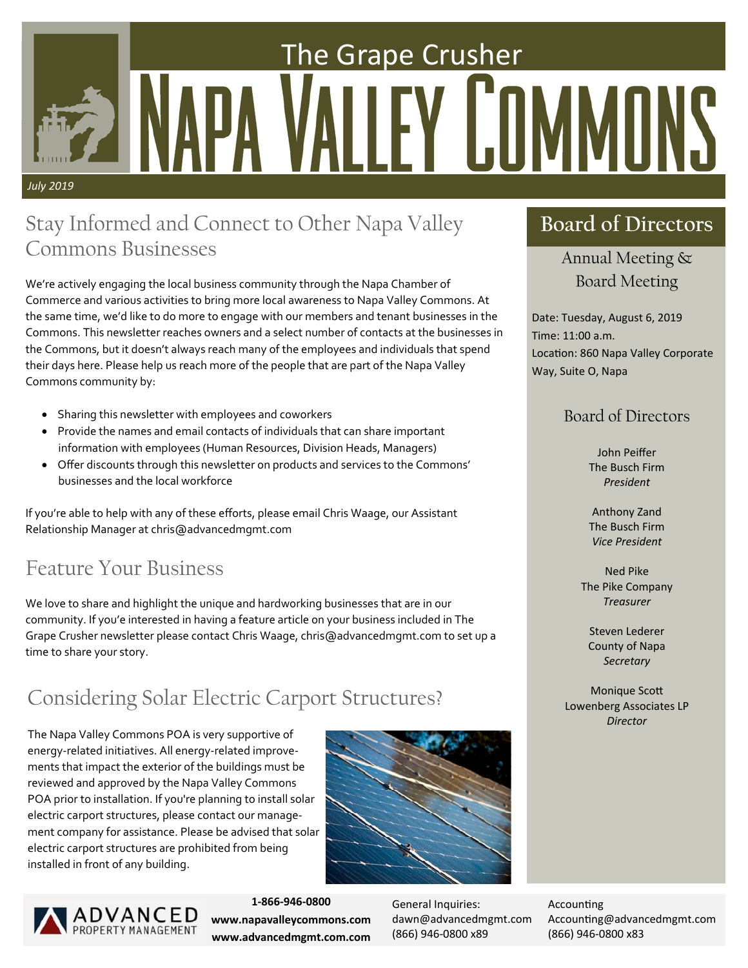# The Grape Crusher Y ILIII *July 2019*

## Stay Informed and Connect to Other Napa Valley Commons Businesses

We're actively engaging the local business community through the Napa Chamber of Commerce and various activities to bring more local awareness to Napa Valley Commons. At the same time, we'd like to do more to engage with our members and tenant businesses in the Commons. This newsletter reaches owners and a select number of contacts at the businesses in the Commons, but it doesn't always reach many of the employees and individuals that spend their days here. Please help us reach more of the people that are part of the Napa Valley Commons community by:

- Sharing this newsletter with employees and coworkers
- Provide the names and email contacts of individuals that can share important information with employees (Human Resources, Division Heads, Managers)
- Offer discounts through this newsletter on products and services to the Commons' businesses and the local workforce

If you're able to help with any of these efforts, please email Chris Waage, our Assistant Relationship Manager at chris@advancedmgmt.com

# Feature Your Business

We love to share and highlight the unique and hardworking businesses that are in our community. If you'e interested in having a feature article on your business included in The Grape Crusher newsletter please contact Chris Waage, chris@advancedmgmt.com to set up a time to share your story.

# Considering Solar Electric Carport Structures?

The Napa Valley Commons POA is very supportive of energy‐related initiatives. All energy‐related improve‐ ments that impact the exterior of the buildings must be reviewed and approved by the Napa Valley Commons POA prior to installation. If you're planning to install solar electric carport structures, please contact our manage‐ ment company for assistance. Please be advised that solar electric carport structures are prohibited from being installed in front of any building.





**1‐866‐946‐0800 www.napavalleycommons.com www.advancedmgmt.com.com** 

General Inquiries: dawn@advancedmgmt.com (866) 946‐0800 x89

**Accounting** Accounting@advancedmgmt.com (866) 946‐0800 x83

## **Board of Directors**

Annual Meeting & Board Meeting

Date: Tuesday, August 6, 2019 Time: 11:00 a.m. Location: 860 Napa Valley Corporate Way, Suite O, Napa

## Board of Directors

John Peiffer The Busch Firm *President* 

Anthony Zand The Busch Firm *Vice President* 

Ned Pike The Pike Company *Treasurer* 

Steven Lederer County of Napa *Secretary* 

**Monique Scott** Lowenberg Associates LP *Director*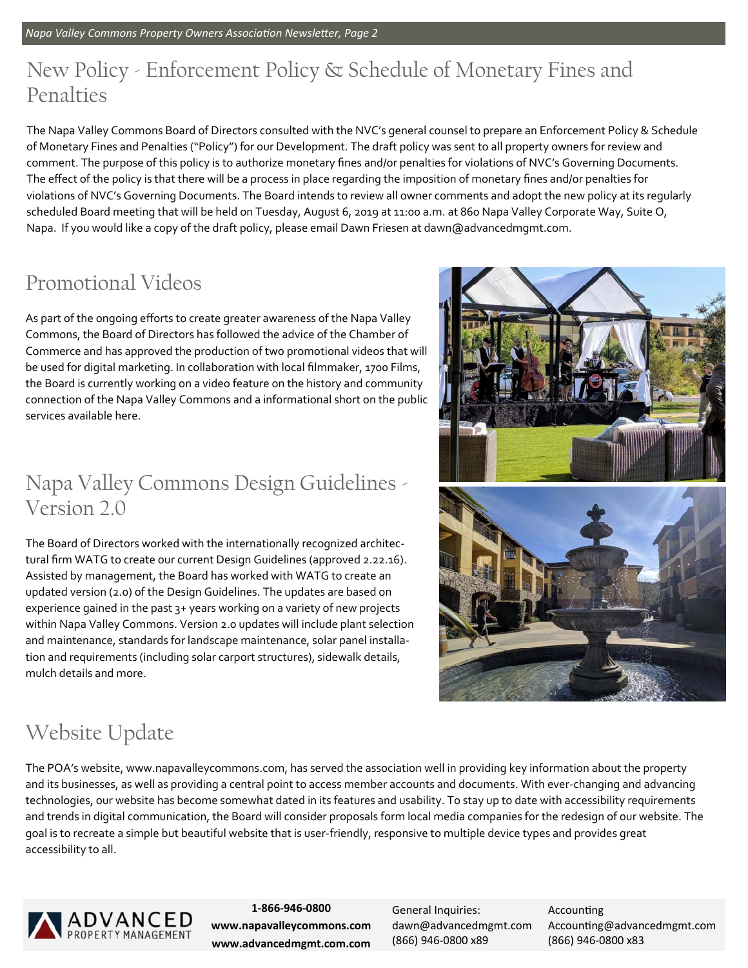# New Policy - Enforcement Policy & Schedule of Monetary Fines and Penalties

The Napa Valley Commons Board of Directors consulted with the NVC's general counsel to prepare an Enforcement Policy & Schedule of Monetary Fines and Penalties ("Policy") for our Development. The draft policy was sent to all property owners for review and comment. The purpose of this policy is to authorize monetary fines and/or penalties for violations of NVC's Governing Documents. The effect of the policy is that there will be a process in place regarding the imposition of monetary fines and/or penalties for violations of NVC's Governing Documents. The Board intends to review all owner comments and adopt the new policy at its regularly scheduled Board meeting that will be held on Tuesday, August 6, 2019 at 11:00 a.m. at 860 Napa Valley Corporate Way, Suite O, Napa. If you would like a copy of the draft policy, please email Dawn Friesen at dawn@advancedmgmt.com.

# Promotional Videos

As part of the ongoing efforts to create greater awareness of the Napa Valley Commons, the Board of Directors has followed the advice of the Chamber of Commerce and has approved the production of two promotional videos that will be used for digital marketing. In collaboration with local filmmaker, 1700 Films, the Board is currently working on a video feature on the history and community connection of the Napa Valley Commons and a informational short on the public services available here.

## Napa Valley Commons Design Guidelines - Version 2.0

The Board of Directors worked with the internationally recognized architec‐ tural firm WATG to create our current Design Guidelines (approved 2.22.16). Assisted by management, the Board has worked with WATG to create an updated version (2.0) of the Design Guidelines. The updates are based on experience gained in the past 3+ years working on a variety of new projects within Napa Valley Commons. Version 2.0 updates will include plant selection and maintenance, standards for landscape maintenance, solar panel installation and requirements (including solar carport structures), sidewalk details, mulch details and more.



# Website Update

The POA's website, www.napavalleycommons.com, has served the association well in providing key information about the property and its businesses, as well as providing a central point to access member accounts and documents. With ever-changing and advancing technologies, our website has become somewhat dated in its features and usability. To stay up to date with accessibility requirements and trends in digital communication, the Board will consider proposals form local media companies for the redesign of our website. The goal is to recreate a simple but beautiful website that is user‐friendly, responsive to multiple device types and provides great accessibility to all.



**1‐866‐946‐0800 www.napavalleycommons.com www.advancedmgmt.com.com** 

General Inquiries: dawn@advancedmgmt.com (866) 946‐0800 x89

**Accounting** Accounting@advancedmgmt.com (866) 946‐0800 x83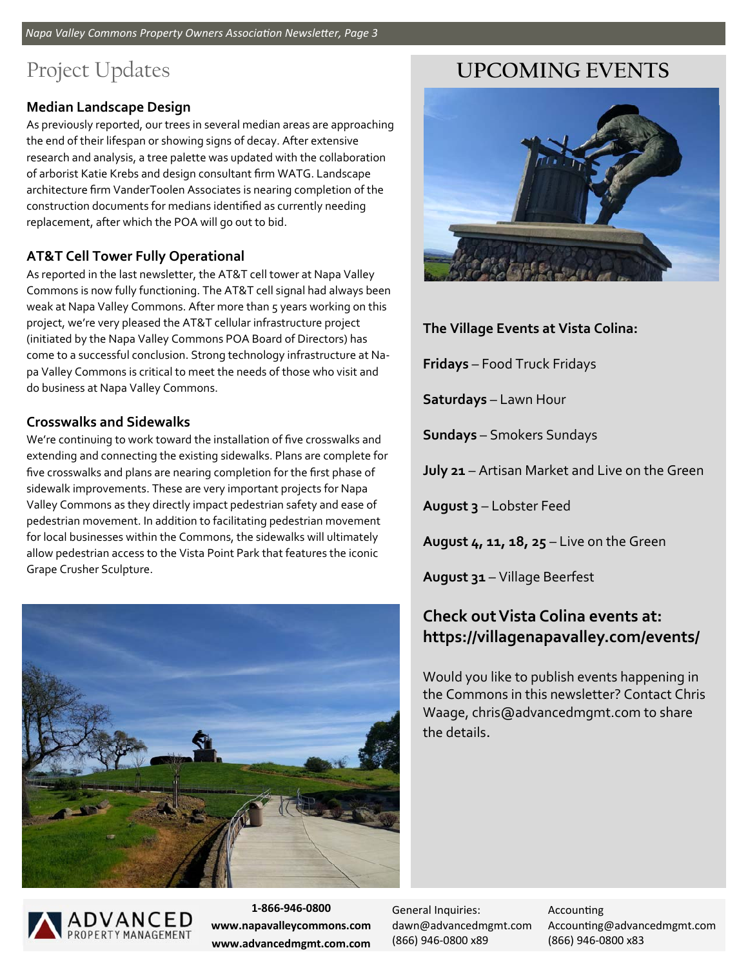# Project Updates

## **Median Landscape Design**

As previously reported, our trees in several median areas are approaching the end of their lifespan or showing signs of decay. After extensive research and analysis, a tree palette was updated with the collaboration of arborist Katie Krebs and design consultant firm WATG. Landscape architecture firm VanderToolen Associates is nearing completion of the construction documents for medians identified as currently needing replacement, after which the POA will go out to bid.

## **AT&T Cell Tower Fully Operational**

As reported in the last newsletter, the AT&T cell tower at Napa Valley Commons is now fully functioning. The AT&T cell signal had always been weak at Napa Valley Commons. After more than 5 years working on this project, we're very pleased the AT&T cellular infrastructure project (initiated by the Napa Valley Commons POA Board of Directors) has come to a successful conclusion. Strong technology infrastructure at Na‐ pa Valley Commons is critical to meet the needs of those who visit and do business at Napa Valley Commons.

## **Crosswalks and Sidewalks**

We're continuing to work toward the installation of five crosswalks and extending and connecting the existing sidewalks. Plans are complete for five crosswalks and plans are nearing completion for the first phase of sidewalk improvements. These are very important projects for Napa Valley Commons as they directly impact pedestrian safety and ease of pedestrian movement. In addition to facilitating pedestrian movement for local businesses within the Commons, the sidewalks will ultimately allow pedestrian access to the Vista Point Park that features the iconic Grape Crusher Sculpture.





**1‐866‐946‐0800 www.napavalleycommons.com www.advancedmgmt.com.com** 

General Inquiries: dawn@advancedmgmt.com (866) 946‐0800 x89

**Accounting** Accounting@advancedmgmt.com (866) 946‐0800 x83

## **UPCOMING EVENTS**



**The Village Events at Vista Colina:** 

**Fridays** – Food Truck Fridays

**Saturdays** – Lawn Hour

**Sundays** – Smokers Sundays

**July 21** – Artisan Market and Live on the Green

**August 3** – Lobster Feed

**August 4, 11, 18, 25** – Live on the Green

**August 31** – Village Beerfest

## **Check out Vista Colina events at: https://villagenapavalley.com/events/**

Would you like to publish events happening in the Commons in this newsletter? Contact Chris Waage, chris@advancedmgmt.com to share the details.